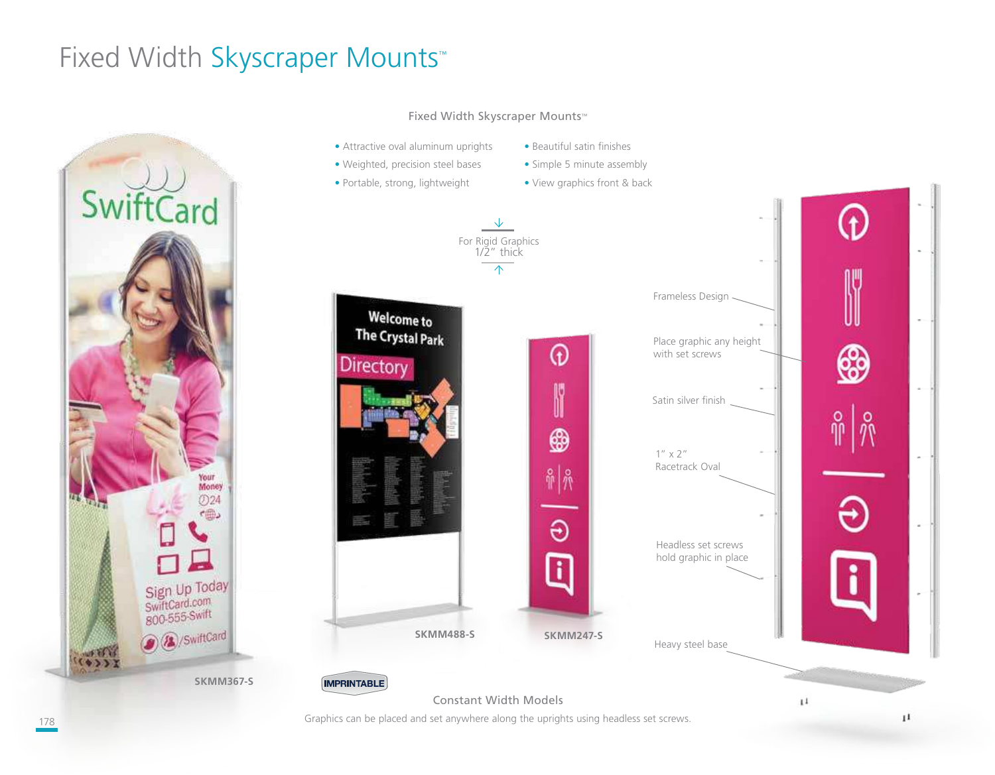# Fixed Width Skyscraper Mounts™



#### Fixed Width Skyscraper Mounts™

• Attractive oval aluminum uprights

• Portable, strong, lightweight

- Weighted, precision steel bases • Simple 5 minute assembly
	- View graphics front & back

• Beautiful satin finishes

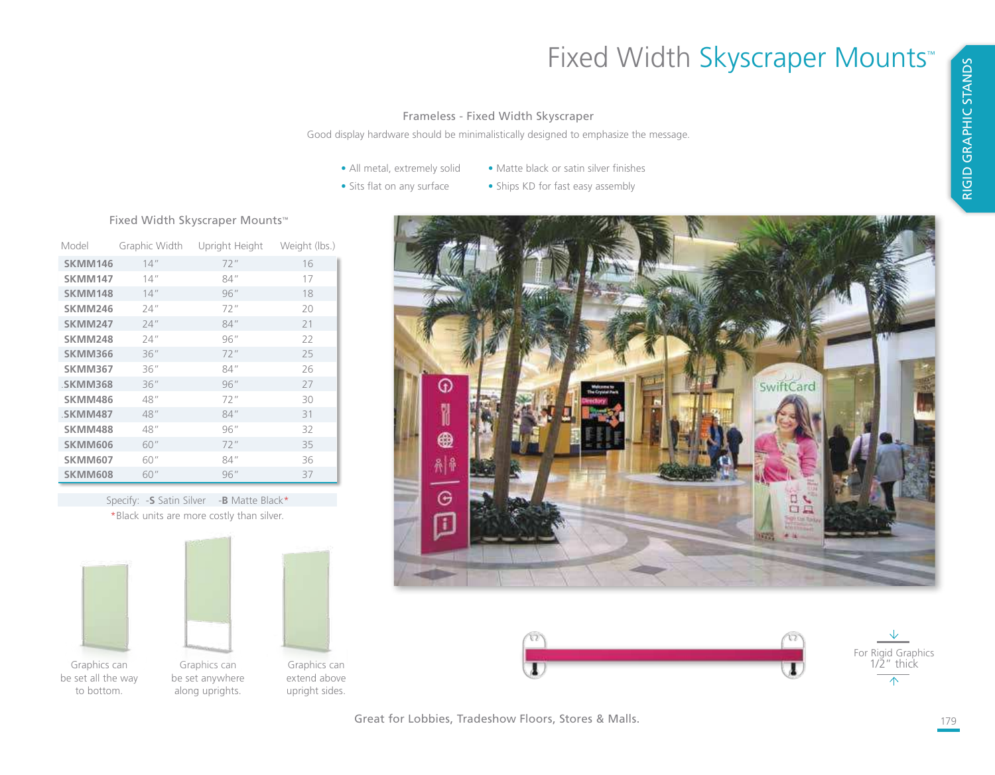# Fixed Width Skyscraper Mounts™

#### Frameless - Fixed Width Skyscraper

Good display hardware should be minimalistically designed to emphasize the message.

- All metal, extremely solid
- Matte black or satin silver finishes
- Sits flat on any surface
- Ships KD for fast easy assembly

### Fixed Width Skyscraper Mounts™

| Model          | Graphic Width | Upright Height | Weight (lbs.) |
|----------------|---------------|----------------|---------------|
| SKMM146        | 14"           | 72"            | 16            |
| SKMM147        | 14''          | 84"            | 17            |
| SKMM148        | 14''          | 96''           | 18            |
| SKMM246        | 74''          | 72"            | 20            |
| <b>SKMM247</b> | 24''          | 84''           | 21            |
| SKMM248        | 24''          | 96''           | 22            |
| SKMM366        | 36''          | 72"            | 25            |
| SKMM367        | 36''          | 84"            | 26            |
| .SKMM368       | 36''          | 96''           | 27            |
| SKMM486        | 48"           | 72"            | 30            |
| <b>SKMM487</b> | 48"           | 84''           | 31            |
| <b>SKMM488</b> | 48"           | 96''           | 32            |
| <b>SKMM606</b> | 60"           | 72"            | 35            |
| SKMM607        | 60"           | 84"            | 36            |
| <b>SKMM608</b> | 60"           | 96''           | 37            |

Specify: -**S** Satin Silver -**B** Matte Black\* \*Black units are more costly than silver.







Great for Lobbies, Tradeshow Floors, Stores & Malls.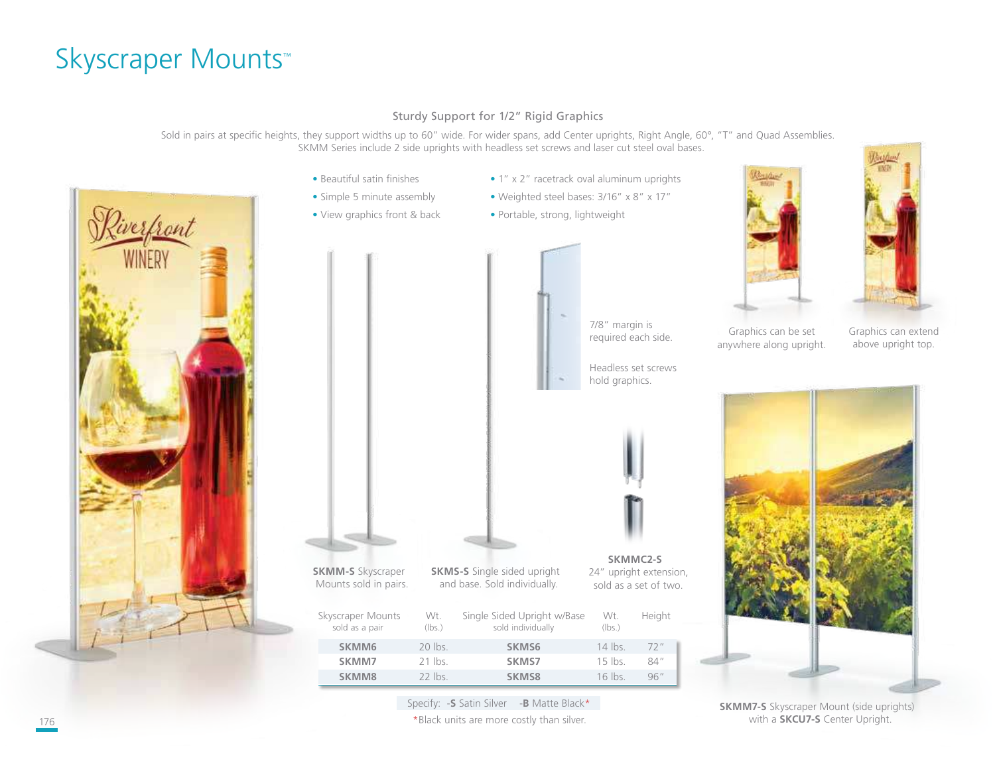## Skyscraper Mounts™

### Sturdy Support for 1/2" Rigid Graphics

Sold in pairs at specific heights, they support widths up to 60" wide. For wider spans, add Center uprights, Right Angle, 60°, "T" and Quad Assemblies. SKMM Series include 2 side uprights with headless set screws and laser cut steel oval bases.



- Beautiful satin finishes
- Simple 5 minute assembly

**SKMM-S** Skyscraper Mounts sold in pairs.

- View graphics front & back
- 1" x 2" racetrack oval aluminum uprights
- Weighted steel bases: 3/16" x 8" x 17"
- Portable, strong, lightweight



**SKMMC2-S** 24" upright extension, sold as a set of two.





Graphics can extend above upright top.



**SKMM7-S** Skyscraper Mount (side uprights) with a **SKCU7-S** Center Upright.

Specify: -**S** Satin Silver -**B** Matte Black\* 176 **\*Black units are more costly than silver.** The state of the state of the state of the state of the state of the state of the state of the state of the state of the state of the state of the state of the state of the s

Skyscraper Mounts Wt. Single Sided Upright w/Base Wt. Height sold as a pair (Ibs.)

**SKMS-S** Single sided upright and base. Sold individually.

**SKMM6** 20 lbs. **SKMS6** 14 lbs. 72" **SKMM7** 21 lbs. **SKMS7** 15 lbs. 84" **SKMM8** 22 lbs. **SKMS8** 16 lbs. 96"

sold individually (lbs.)